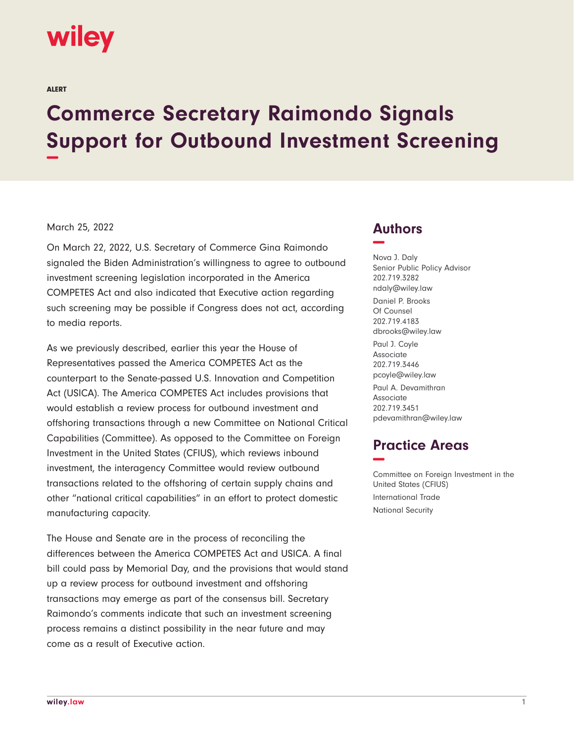

ALERT

## **Commerce Secretary Raimondo Signals Support for Outbound Investment Screening −**

## March 25, 2022

On March 22, 2022, U.S. Secretary of Commerce Gina Raimondo signaled the Biden Administration's willingness to agree to outbound investment screening legislation incorporated in the America COMPETES Act and also indicated that Executive action regarding such screening may be possible if Congress does not act, according to media reports.

As we previously described, earlier this year the House of Representatives passed the America COMPETES Act as the counterpart to the Senate-passed U.S. Innovation and Competition Act (USICA). The America COMPETES Act includes provisions that would establish a review process for outbound investment and offshoring transactions through a new Committee on National Critical Capabilities (Committee). As opposed to the Committee on Foreign Investment in the United States (CFIUS), which reviews inbound investment, the interagency Committee would review outbound transactions related to the offshoring of certain supply chains and other "national critical capabilities" in an effort to protect domestic manufacturing capacity.

The House and Senate are in the process of reconciling the differences between the America COMPETES Act and USICA. A final bill could pass by Memorial Day, and the provisions that would stand up a review process for outbound investment and offshoring transactions may emerge as part of the consensus bill. Secretary Raimondo's comments indicate that such an investment screening process remains a distinct possibility in the near future and may come as a result of Executive action.

## **Authors −**

Nova J. Daly Senior Public Policy Advisor 202.719.3282 ndaly@wiley.law Daniel P. Brooks Of Counsel 202.719.4183 dbrooks@wiley.law Paul J. Coyle Associate 202.719.3446 pcoyle@wiley.law Paul A. Devamithran Associate 202.719.3451 pdevamithran@wiley.law

## **Practice Areas −**

Committee on Foreign Investment in the United States (CFIUS) International Trade National Security